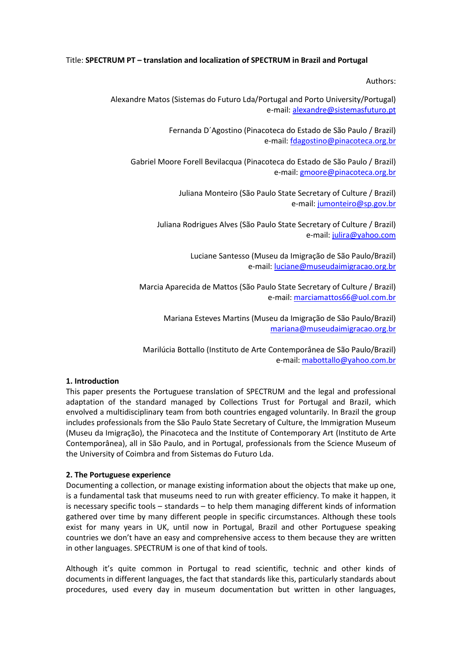# Title: **SPECTRUM PT – translation and localization of SPECTRUM in Brazil and Portugal**

Authors:

Alexandre Matos (Sistemas do Futuro Lda/Portugal and Porto University/Portugal) e-mail: [alexandre@sistemasfuturo.pt](mailto:alexandre@sistemasfuturo.pt) 

> Fernanda D´Agostino (Pinacoteca do Estado de São Paulo / Brazil) e-mail: [fdagostino@pinacoteca.org.br](mailto:fdagostino@pinacoteca.org.br)

Gabriel Moore Forell Bevilacqua (Pinacoteca do Estado de São Paulo / Brazil) e-mail[: gmoore@pinacoteca.org.br](mailto:gmoore@pinacoteca.org.br)

> Juliana Monteiro (São Paulo State Secretary of Culture / Brazil) e-mail: [jumonteiro@sp.gov.br](mailto:jumonteiro@sp.gov.br)

Juliana Rodrigues Alves (São Paulo State Secretary of Culture / Brazil) e-mail: [julira@yahoo.com](mailto:julira@yahoo.com)

> Luciane Santesso (Museu da Imigração de São Paulo/Brazil) e-mail: [luciane@museudaimigracao.org.br](mailto:luciane@museudaimigracao.org.br)

Marcia Aparecida de Mattos (São Paulo State Secretary of Culture / Brazil) e-mail: [marciamattos66@uol.com.br](mailto:marciamattos66@uol.com.br)

Mariana Esteves Martins (Museu da Imigração de São Paulo/Brazil) [mariana@museudaimigracao.org.br](mailto:mariana@museudaimigracao.org.br)

Marilúcia Bottallo (Instituto de Arte Contemporânea de São Paulo/Brazil) e-mail: [mabottallo@yahoo.com.br](mailto:mabottallo@yahoo.com.br)

#### **1. Introduction**

This paper presents the Portuguese translation of SPECTRUM and the legal and professional adaptation of the standard managed by Collections Trust for Portugal and Brazil, which envolved a multidisciplinary team from both countries engaged voluntarily. In Brazil the group includes professionals from the São Paulo State Secretary of Culture, the Immigration Museum (Museu da Imigração), the Pinacoteca and the Institute of Contemporary Art (Instituto de Arte Contemporânea), all in São Paulo, and in Portugal, professionals from the Science Museum of the University of Coimbra and from Sistemas do Futuro Lda.

# **2. The Portuguese experience**

Documenting a collection, or manage existing information about the objects that make up one, is a fundamental task that museums need to run with greater efficiency. To make it happen, it is necessary specific tools – standards – to help them managing different kinds of information gathered over time by many different people in specific circumstances. Although these tools exist for many years in UK, until now in Portugal, Brazil and other Portuguese speaking countries we don't have an easy and comprehensive access to them because they are written in other languages. SPECTRUM is one of that kind of tools.

Although it's quite common in Portugal to read scientific, technic and other kinds of documents in different languages, the fact that standards like this, particularly standards about procedures, used every day in museum documentation but written in other languages,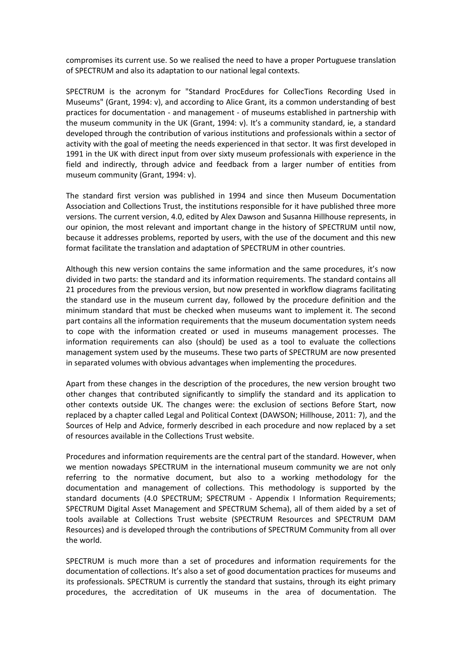compromises its current use. So we realised the need to have a proper Portuguese translation of SPECTRUM and also its adaptation to our national legal contexts.

SPECTRUM is the acronym for "Standard ProcEdures for CollecTions Recording Used in Museums" (Grant, 1994: v), and according to Alice Grant, its a common understanding of best practices for documentation - and management - of museums established in partnership with the museum community in the UK (Grant, 1994: v). It's a community standard, ie, a standard developed through the contribution of various institutions and professionals within a sector of activity with the goal of meeting the needs experienced in that sector. It was first developed in 1991 in the UK with direct input from over sixty museum professionals with experience in the field and indirectly, through advice and feedback from a larger number of entities from museum community (Grant, 1994: v).

The standard first version was published in 1994 and since then Museum Documentation Association and Collections Trust, the institutions responsible for it have published three more versions. The current version, 4.0, edited by Alex Dawson and Susanna Hillhouse represents, in our opinion, the most relevant and important change in the history of SPECTRUM until now, because it addresses problems, reported by users, with the use of the document and this new format facilitate the translation and adaptation of SPECTRUM in other countries.

Although this new version contains the same information and the same procedures, it's now divided in two parts: the standard and its information requirements. The standard contains all 21 procedures from the previous version, but now presented in workflow diagrams facilitating the standard use in the museum current day, followed by the procedure definition and the minimum standard that must be checked when museums want to implement it. The second part contains all the information requirements that the museum documentation system needs to cope with the information created or used in museums management processes. The information requirements can also (should) be used as a tool to evaluate the collections management system used by the museums. These two parts of SPECTRUM are now presented in separated volumes with obvious advantages when implementing the procedures.

Apart from these changes in the description of the procedures, the new version brought two other changes that contributed significantly to simplify the standard and its application to other contexts outside UK. The changes were: the exclusion of sections Before Start, now replaced by a chapter called Legal and Political Context (DAWSON; Hillhouse, 2011: 7), and the Sources of Help and Advice, formerly described in each procedure and now replaced by a set of resources available in the Collections Trust website.

Procedures and information requirements are the central part of the standard. However, when we mention nowadays SPECTRUM in the international museum community we are not only referring to the normative document, but also to a working methodology for the documentation and management of collections. This methodology is supported by the standard documents (4.0 SPECTRUM; SPECTRUM - Appendix I Information Requirements; SPECTRUM Digital Asset Management and SPECTRUM Schema), all of them aided by a set of tools available at Collections Trust website (SPECTRUM Resources and SPECTRUM DAM Resources) and is developed through the contributions of SPECTRUM Community from all over the world.

SPECTRUM is much more than a set of procedures and information requirements for the documentation of collections. It's also a set of good documentation practices for museums and its professionals. SPECTRUM is currently the standard that sustains, through its eight primary procedures, the accreditation of UK museums in the area of documentation. The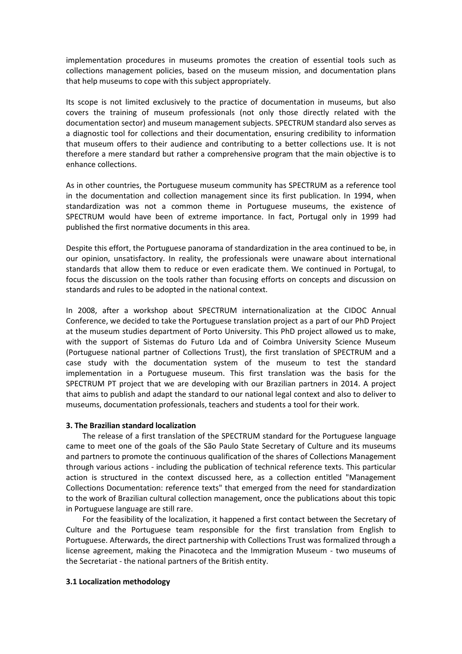implementation procedures in museums promotes the creation of essential tools such as collections management policies, based on the museum mission, and documentation plans that help museums to cope with this subject appropriately.

Its scope is not limited exclusively to the practice of documentation in museums, but also covers the training of museum professionals (not only those directly related with the documentation sector) and museum management subjects. SPECTRUM standard also serves as a diagnostic tool for collections and their documentation, ensuring credibility to information that museum offers to their audience and contributing to a better collections use. It is not therefore a mere standard but rather a comprehensive program that the main objective is to enhance collections.

As in other countries, the Portuguese museum community has SPECTRUM as a reference tool in the documentation and collection management since its first publication. In 1994, when standardization was not a common theme in Portuguese museums, the existence of SPECTRUM would have been of extreme importance. In fact, Portugal only in 1999 had published the first normative documents in this area.

Despite this effort, the Portuguese panorama of standardization in the area continued to be, in our opinion, unsatisfactory. In reality, the professionals were unaware about international standards that allow them to reduce or even eradicate them. We continued in Portugal, to focus the discussion on the tools rather than focusing efforts on concepts and discussion on standards and rules to be adopted in the national context.

In 2008, after a workshop about SPECTRUM internationalization at the CIDOC Annual Conference, we decided to take the Portuguese translation project as a part of our PhD Project at the museum studies department of Porto University. This PhD project allowed us to make, with the support of Sistemas do Futuro Lda and of Coimbra University Science Museum (Portuguese national partner of Collections Trust), the first translation of SPECTRUM and a case study with the documentation system of the museum to test the standard implementation in a Portuguese museum. This first translation was the basis for the SPECTRUM PT project that we are developing with our Brazilian partners in 2014. A project that aims to publish and adapt the standard to our national legal context and also to deliver to museums, documentation professionals, teachers and students a tool for their work.

# **3. The Brazilian standard localization**

The release of a first translation of the SPECTRUM standard for the Portuguese language came to meet one of the goals of the São Paulo State Secretary of Culture and its museums and partners to promote the continuous qualification of the shares of Collections Management through various actions - including the publication of technical reference texts. This particular action is structured in the context discussed here, as a collection entitled "Management Collections Documentation: reference texts" that emerged from the need for standardization to the work of Brazilian cultural collection management, once the publications about this topic in Portuguese language are still rare.

For the feasibility of the localization, it happened a first contact between the Secretary of Culture and the Portuguese team responsible for the first translation from English to Portuguese. Afterwards, the direct partnership with Collections Trust was formalized through a license agreement, making the Pinacoteca and the Immigration Museum - two museums of the Secretariat - the national partners of the British entity.

# **3.1 Localization methodology**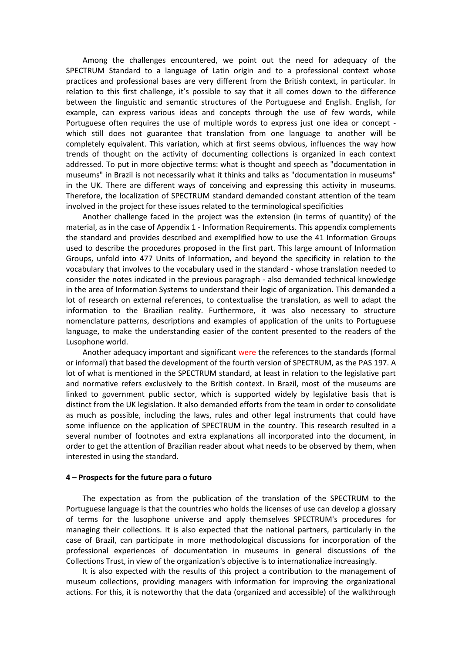Among the challenges encountered, we point out the need for adequacy of the SPECTRUM Standard to a language of Latin origin and to a professional context whose practices and professional bases are very different from the British context, in particular. In relation to this first challenge, it's possible to say that it all comes down to the difference between the linguistic and semantic structures of the Portuguese and English. English, for example, can express various ideas and concepts through the use of few words, while Portuguese often requires the use of multiple words to express just one idea or concept which still does not guarantee that translation from one language to another will be completely equivalent. This variation, which at first seems obvious, influences the way how trends of thought on the activity of documenting collections is organized in each context addressed. To put in more objective terms: what is thought and speech as "documentation in museums" in Brazil is not necessarily what it thinks and talks as "documentation in museums" in the UK. There are different ways of conceiving and expressing this activity in museums. Therefore, the localization of SPECTRUM standard demanded constant attention of the team involved in the project for these issues related to the terminological specificities

Another challenge faced in the project was the extension (in terms of quantity) of the material, as in the case of Appendix 1 - Information Requirements. This appendix complements the standard and provides described and exemplified how to use the 41 Information Groups used to describe the procedures proposed in the first part. This large amount of Information Groups, unfold into 477 Units of Information, and beyond the specificity in relation to the vocabulary that involves to the vocabulary used in the standard - whose translation needed to consider the notes indicated in the previous paragraph - also demanded technical knowledge in the area of Information Systems to understand their logic of organization. This demanded a lot of research on external references, to contextualise the translation, as well to adapt the information to the Brazilian reality. Furthermore, it was also necessary to structure nomenclature patterns, descriptions and examples of application of the units to Portuguese language, to make the understanding easier of the content presented to the readers of the Lusophone world.

Another adequacy important and significant were the references to the standards (formal or informal) that based the development of the fourth version of SPECTRUM, as the PAS 197. A lot of what is mentioned in the SPECTRUM standard, at least in relation to the legislative part and normative refers exclusively to the British context. In Brazil, most of the museums are linked to government public sector, which is supported widely by legislative basis that is distinct from the UK legislation. It also demanded efforts from the team in order to consolidate as much as possible, including the laws, rules and other legal instruments that could have some influence on the application of SPECTRUM in the country. This research resulted in a several number of footnotes and extra explanations all incorporated into the document, in order to get the attention of Brazilian reader about what needs to be observed by them, when interested in using the standard.

#### **4 – Prospects for the future para o futuro**

The expectation as from the publication of the translation of the SPECTRUM to the Portuguese language is that the countries who holds the licenses of use can develop a glossary of terms for the lusophone universe and apply themselves SPECTRUM's procedures for managing their collections. It is also expected that the national partners, particularly in the case of Brazil, can participate in more methodological discussions for incorporation of the professional experiences of documentation in museums in general discussions of the Collections Trust, in view of the organization's objective is to internationalize increasingly.

It is also expected with the results of this project a contribution to the management of museum collections, providing managers with information for improving the organizational actions. For this, it is noteworthy that the data (organized and accessible) of the walkthrough